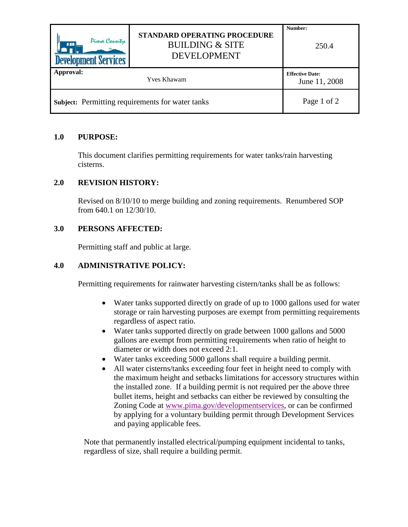| Pima County<br><b>AAA</b><br><b>Development Services</b> | <b>STANDARD OPERATING PROCEDURE</b><br><b>BUILDING &amp; SITE</b><br><b>DEVELOPMENT</b> | Number:<br>250.4                        |
|----------------------------------------------------------|-----------------------------------------------------------------------------------------|-----------------------------------------|
| Approval:                                                | Yves Khawam                                                                             | <b>Effective Date:</b><br>June 11, 2008 |
| Subject: Permitting requirements for water tanks         |                                                                                         | Page 1 of 2                             |

#### **1.0 PURPOSE:**

This document clarifies permitting requirements for water tanks/rain harvesting cisterns.

## **2.0 REVISION HISTORY:**

Revised on 8/10/10 to merge building and zoning requirements. Renumbered SOP from 640.1 on 12/30/10.

#### **3.0 PERSONS AFFECTED:**

Permitting staff and public at large.

## **4.0 ADMINISTRATIVE POLICY:**

Permitting requirements for rainwater harvesting cistern/tanks shall be as follows:

- Water tanks supported directly on grade of up to 1000 gallons used for water storage or rain harvesting purposes are exempt from permitting requirements regardless of aspect ratio.
- Water tanks supported directly on grade between 1000 gallons and 5000 gallons are exempt from permitting requirements when ratio of height to diameter or width does not exceed 2:1.
- Water tanks exceeding 5000 gallons shall require a building permit.
- All water cisterns/tanks exceeding four feet in height need to comply with the maximum height and setbacks limitations for accessory structures within the installed zone. If a building permit is not required per the above three bullet items, height and setbacks can either be reviewed by consulting the Zoning Code at [www.pima.gov/developmentservices,](http://www.pima.gov/developmentservices) or can be confirmed by applying for a voluntary building permit through Development Services and paying applicable fees.

Note that permanently installed electrical/pumping equipment incidental to tanks, regardless of size, shall require a building permit.